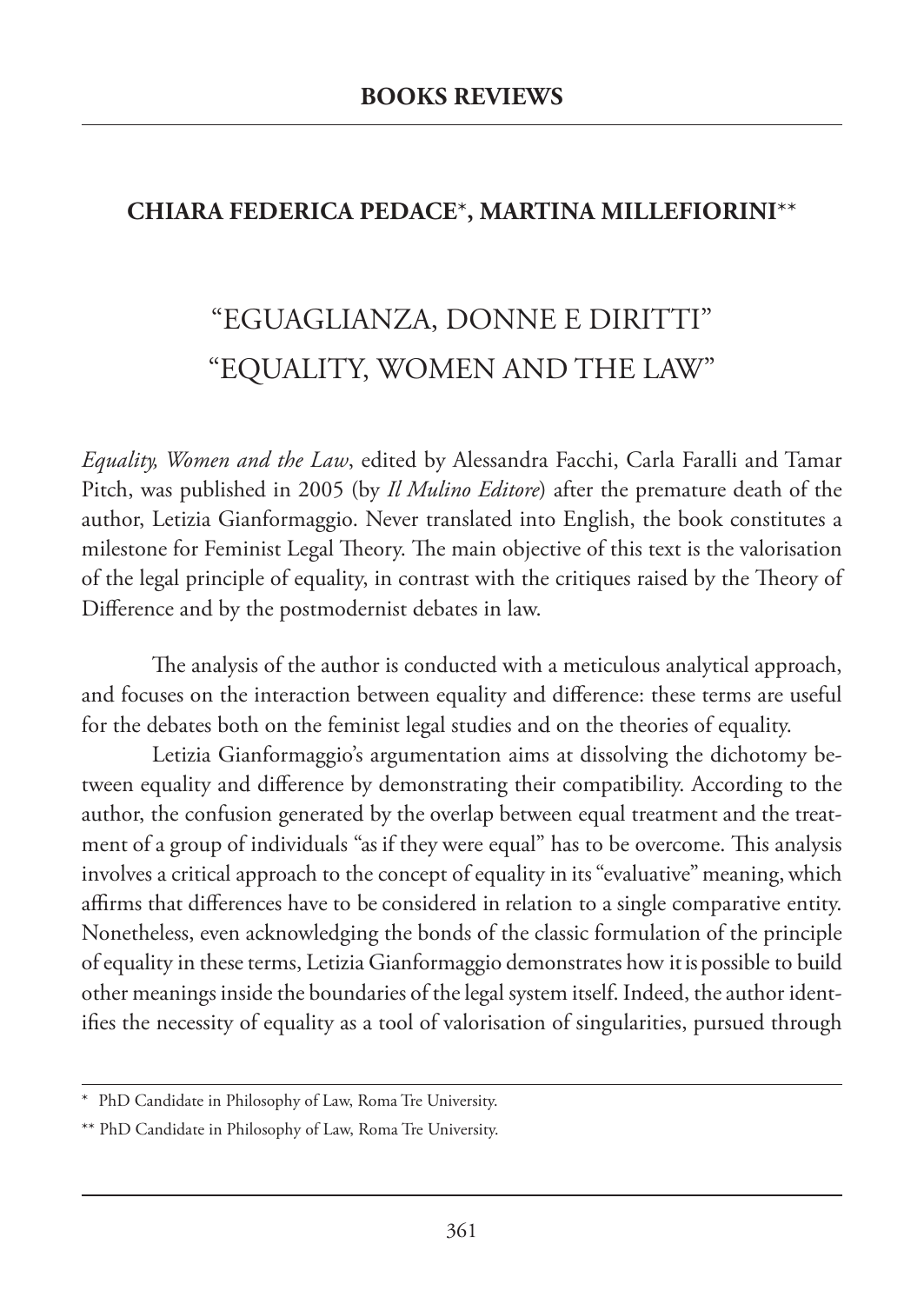## **CHIARA FEDERICA PEDACE**\***, MARTINA MILLEFIORINI**\*\*

## "EGUAGLIANZA, DONNE E DIRITTI" "EQUALITY, WOMEN AND THE LAW"

*Equality, Women and the Law*, edited by Alessandra Facchi, Carla Faralli and Tamar Pitch, was published in 2005 (by *Il Mulino Editore*) after the premature death of the author, Letizia Gianformaggio. Never translated into English, the book constitutes a milestone for Feminist Legal Theory. The main objective of this text is the valorisation of the legal principle of equality, in contrast with the critiques raised by the Theory of Difference and by the postmodernist debates in law.

The analysis of the author is conducted with a meticulous analytical approach, and focuses on the interaction between equality and difference: these terms are useful for the debates both on the feminist legal studies and on the theories of equality.

Letizia Gianformaggio's argumentation aims at dissolving the dichotomy between equality and difference by demonstrating their compatibility. According to the author, the confusion generated by the overlap between equal treatment and the treatment of a group of individuals "as if they were equal" has to be overcome. This analysis involves a critical approach to the concept of equality in its "evaluative" meaning, which affirms that differences have to be considered in relation to a single comparative entity. Nonetheless, even acknowledging the bonds of the classic formulation of the principle of equality in these terms, Letizia Gianformaggio demonstrates how it is possible to build other meanings inside the boundaries of the legal system itself. Indeed, the author identifies the necessity of equality as a tool of valorisation of singularities, pursued through

<sup>\*</sup> PhD Candidate in Philosophy of Law, Roma Tre University.

<sup>\*\*</sup> PhD Candidate in Philosophy of Law, Roma Tre University.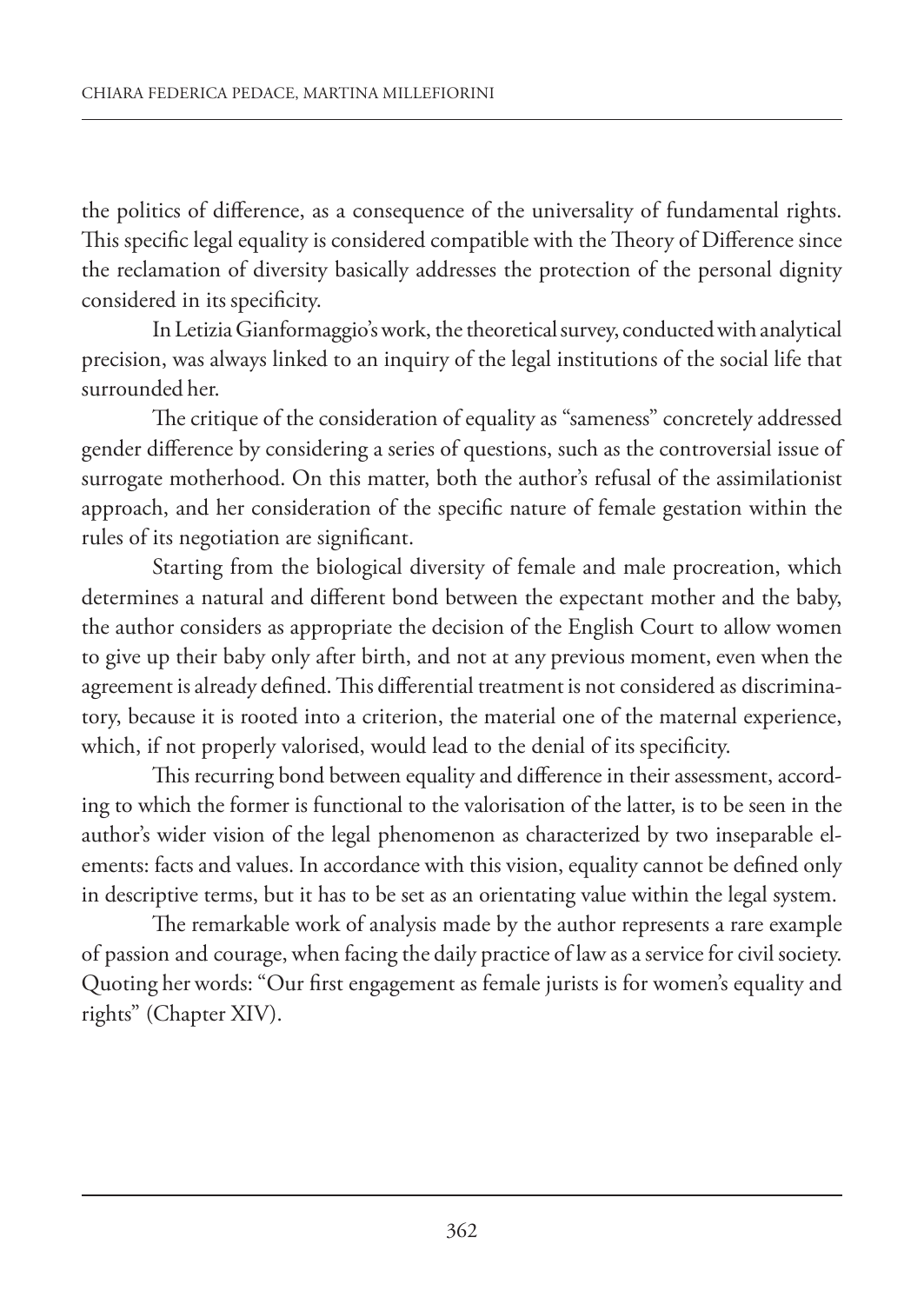the politics of difference, as a consequence of the universality of fundamental rights. This specific legal equality is considered compatible with the Theory of Difference since the reclamation of diversity basically addresses the protection of the personal dignity considered in its specificity.

In Letizia Gianformaggio's work, the theoretical survey, conducted with analytical precision, was always linked to an inquiry of the legal institutions of the social life that surrounded her.

The critique of the consideration of equality as "sameness" concretely addressed gender difference by considering a series of questions, such as the controversial issue of surrogate motherhood. On this matter, both the author's refusal of the assimilationist approach, and her consideration of the specific nature of female gestation within the rules of its negotiation are significant.

Starting from the biological diversity of female and male procreation, which determines a natural and different bond between the expectant mother and the baby, the author considers as appropriate the decision of the English Court to allow women to give up their baby only after birth, and not at any previous moment, even when the agreement is already defined. This differential treatment is not considered as discriminatory, because it is rooted into a criterion, the material one of the maternal experience, which, if not properly valorised, would lead to the denial of its specificity.

This recurring bond between equality and difference in their assessment, according to which the former is functional to the valorisation of the latter, is to be seen in the author's wider vision of the legal phenomenon as characterized by two inseparable elements: facts and values. In accordance with this vision, equality cannot be defined only in descriptive terms, but it has to be set as an orientating value within the legal system.

The remarkable work of analysis made by the author represents a rare example of passion and courage, when facing the daily practice of law as a service for civil society. Quoting her words: "Our first engagement as female jurists is for women's equality and rights" (Chapter XIV).